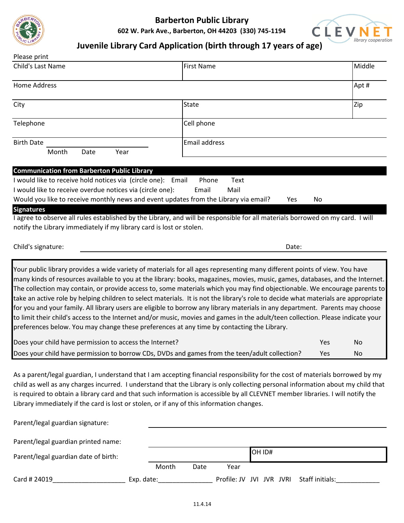

**Barberton Public Library 602 W. Park Ave., Barberton, OH 44203 (330) 745-1194**



## **Juvenile Library Card Application (birth through 17 years of age)**

| Please print                                                                                                                                                                                                                                                                                                                                                                                                                                                                                                                                                                                                                                                                                                                                                                                                                                                                                                                                                                     |                      |        |  |  |  |  |
|----------------------------------------------------------------------------------------------------------------------------------------------------------------------------------------------------------------------------------------------------------------------------------------------------------------------------------------------------------------------------------------------------------------------------------------------------------------------------------------------------------------------------------------------------------------------------------------------------------------------------------------------------------------------------------------------------------------------------------------------------------------------------------------------------------------------------------------------------------------------------------------------------------------------------------------------------------------------------------|----------------------|--------|--|--|--|--|
| <b>Child's Last Name</b>                                                                                                                                                                                                                                                                                                                                                                                                                                                                                                                                                                                                                                                                                                                                                                                                                                                                                                                                                         | <b>First Name</b>    | Middle |  |  |  |  |
| <b>Home Address</b>                                                                                                                                                                                                                                                                                                                                                                                                                                                                                                                                                                                                                                                                                                                                                                                                                                                                                                                                                              |                      | Apt#   |  |  |  |  |
| City                                                                                                                                                                                                                                                                                                                                                                                                                                                                                                                                                                                                                                                                                                                                                                                                                                                                                                                                                                             | <b>State</b>         | Zip    |  |  |  |  |
| Telephone                                                                                                                                                                                                                                                                                                                                                                                                                                                                                                                                                                                                                                                                                                                                                                                                                                                                                                                                                                        | Cell phone           |        |  |  |  |  |
| <b>Birth Date</b><br>Month<br>Date<br>Year                                                                                                                                                                                                                                                                                                                                                                                                                                                                                                                                                                                                                                                                                                                                                                                                                                                                                                                                       | <b>Email address</b> |        |  |  |  |  |
| I would like to receive hold notices via (circle one): Email<br>Text<br>Phone<br>I would like to receive overdue notices via (circle one):<br>Email<br>Mail<br>Would you like to receive monthly news and event updates from the Library via email?<br>Yes<br>No<br><b>Signatures</b><br>I agree to observe all rules established by the Library, and will be responsible for all materials borrowed on my card. I will<br>notify the Library immediately if my library card is lost or stolen.                                                                                                                                                                                                                                                                                                                                                                                                                                                                                  |                      |        |  |  |  |  |
| Child's signature:                                                                                                                                                                                                                                                                                                                                                                                                                                                                                                                                                                                                                                                                                                                                                                                                                                                                                                                                                               | Date:                |        |  |  |  |  |
| Your public library provides a wide variety of materials for all ages representing many different points of view. You have<br>many kinds of resources available to you at the library: books, magazines, movies, music, games, databases, and the Internet.<br>The collection may contain, or provide access to, some materials which you may find objectionable. We encourage parents to<br>take an active role by helping children to select materials. It is not the library's role to decide what materials are appropriate<br>for you and your family. All library users are eligible to borrow any library materials in any department. Parents may choose<br>to limit their child's access to the Internet and/or music, movies and games in the adult/teen collection. Please indicate your<br>preferences below. You may change these preferences at any time by contacting the Library.<br>Does your child have permission to access the Internet?<br>Yes<br><b>No</b> |                      |        |  |  |  |  |
| Does your child have permission to borrow CDs, DVDs and games from the teen/adult collection?<br>Yes                                                                                                                                                                                                                                                                                                                                                                                                                                                                                                                                                                                                                                                                                                                                                                                                                                                                             |                      |        |  |  |  |  |

As a parent/legal guardian, I understand that I am accepting financial responsibility for the cost of materials borrowed by my child as well as any charges incurred. I understand that the Library is only collecting personal information about my child that is required to obtain a library card and that such information is accessible by all CLEVNET member libraries. I will notify the Library immediately if the card is lost or stolen, or if any of this information changes.

| Parent/legal guardian signature:     |            |       |      |      |        |                                          |  |
|--------------------------------------|------------|-------|------|------|--------|------------------------------------------|--|
| Parent/legal guardian printed name:  |            |       |      |      |        |                                          |  |
| Parent/legal guardian date of birth: |            |       |      |      | OH ID# |                                          |  |
|                                      |            | Month | Date | Year |        |                                          |  |
| Card # 24019                         | Exp. date: |       |      |      |        | Profile: JV JVI JVR JVRI Staff initials: |  |